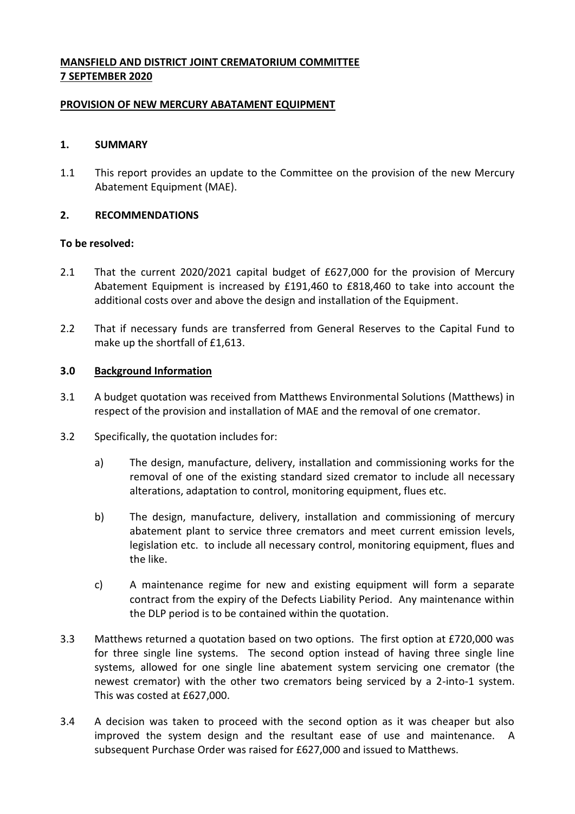# **MANSFIELD AND DISTRICT JOINT CREMATORIUM COMMITTEE 7 SEPTEMBER 2020**

## **PROVISION OF NEW MERCURY ABATAMENT EQUIPMENT**

### **1. SUMMARY**

1.1 This report provides an update to the Committee on the provision of the new Mercury Abatement Equipment (MAE).

#### **2. RECOMMENDATIONS**

#### **To be resolved:**

- 2.1 That the current 2020/2021 capital budget of £627,000 for the provision of Mercury Abatement Equipment is increased by £191,460 to £818,460 to take into account the additional costs over and above the design and installation of the Equipment.
- 2.2 That if necessary funds are transferred from General Reserves to the Capital Fund to make up the shortfall of £1,613.

#### **3.0 Background Information**

- 3.1 A budget quotation was received from Matthews Environmental Solutions (Matthews) in respect of the provision and installation of MAE and the removal of one cremator.
- 3.2 Specifically, the quotation includes for:
	- a) The design, manufacture, delivery, installation and commissioning works for the removal of one of the existing standard sized cremator to include all necessary alterations, adaptation to control, monitoring equipment, flues etc.
	- b) The design, manufacture, delivery, installation and commissioning of mercury abatement plant to service three cremators and meet current emission levels, legislation etc. to include all necessary control, monitoring equipment, flues and the like.
	- c) A maintenance regime for new and existing equipment will form a separate contract from the expiry of the Defects Liability Period. Any maintenance within the DLP period is to be contained within the quotation.
- 3.3 Matthews returned a quotation based on two options. The first option at £720,000 was for three single line systems. The second option instead of having three single line systems, allowed for one single line abatement system servicing one cremator (the newest cremator) with the other two cremators being serviced by a 2-into-1 system. This was costed at £627,000.
- 3.4 A decision was taken to proceed with the second option as it was cheaper but also improved the system design and the resultant ease of use and maintenance. A subsequent Purchase Order was raised for £627,000 and issued to Matthews.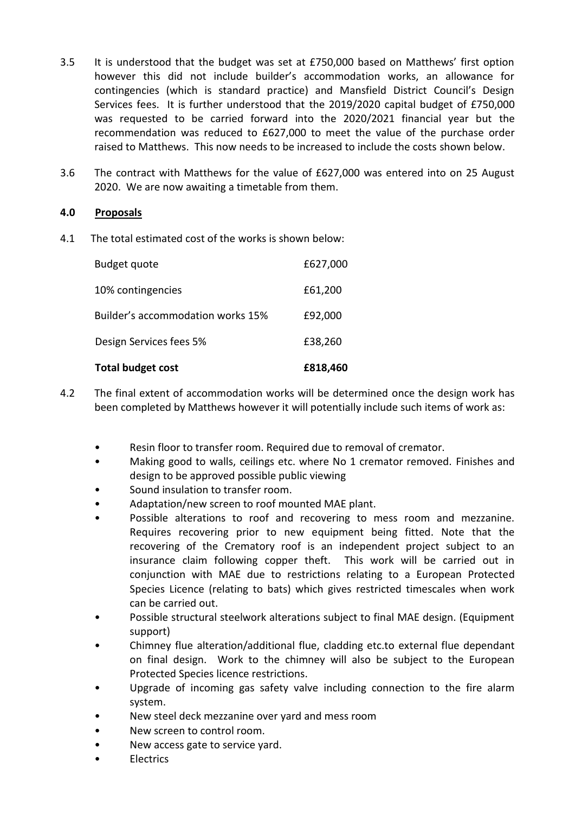- 3.5 It is understood that the budget was set at £750,000 based on Matthews' first option however this did not include builder's accommodation works, an allowance for contingencies (which is standard practice) and Mansfield District Council's Design Services fees. It is further understood that the 2019/2020 capital budget of £750,000 was requested to be carried forward into the 2020/2021 financial year but the recommendation was reduced to £627,000 to meet the value of the purchase order raised to Matthews. This now needs to be increased to include the costs shown below.
- 3.6 The contract with Matthews for the value of £627,000 was entered into on 25 August 2020. We are now awaiting a timetable from them.

# **4.0 Proposals**

4.1 The total estimated cost of the works is shown below:

| <b>Total budget cost</b>          | £818,460 |
|-----------------------------------|----------|
| Design Services fees 5%           | £38,260  |
| Builder's accommodation works 15% | £92,000  |
| 10% contingencies                 | £61,200  |
| Budget quote                      | £627,000 |

- 4.2 The final extent of accommodation works will be determined once the design work has been completed by Matthews however it will potentially include such items of work as:
	- Resin floor to transfer room. Required due to removal of cremator.
	- Making good to walls, ceilings etc. where No 1 cremator removed. Finishes and design to be approved possible public viewing
	- Sound insulation to transfer room.
	- Adaptation/new screen to roof mounted MAE plant.
	- Possible alterations to roof and recovering to mess room and mezzanine. Requires recovering prior to new equipment being fitted. Note that the recovering of the Crematory roof is an independent project subject to an insurance claim following copper theft. This work will be carried out in conjunction with MAE due to restrictions relating to a European Protected Species Licence (relating to bats) which gives restricted timescales when work can be carried out.
	- Possible structural steelwork alterations subject to final MAE design. (Equipment support)
	- Chimney flue alteration/additional flue, cladding etc.to external flue dependant on final design. Work to the chimney will also be subject to the European Protected Species licence restrictions.
	- Upgrade of incoming gas safety valve including connection to the fire alarm system.
	- New steel deck mezzanine over yard and mess room
	- New screen to control room.
	- New access gate to service yard.
	- Electrics